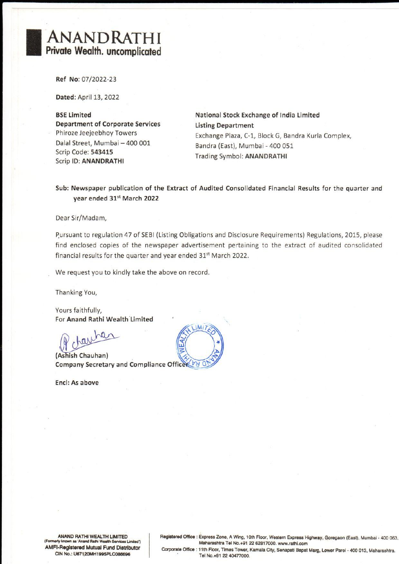## ANANDRATHI Private Wealth. uncomplicated

Ref No: 07/2022-23

Dated: April 13, 2022

Department of Corporate Services Listing Department Dalal Street, Mumbai — 400 001 Bandra (East), Mumbai - 400 051 Scrip Code: 543415 : Trading Symbol: ANANDRATHI Scrip ID: ANANDRATHI

BSE Limited National Stock Exchange of India Limited Phiroze Jeejeebhoy Towers Exchange Plaza, C-1, Block G, Bandra Kurla Complex,

Sub: Newspaper publication of the Extract of Audited Consolidated Financial Results for the quarter and year ended 31% March 2022

Dear Sir/Madam,

Pursuant to regulation 47 of SEBI (Listing Obligations and Disclosure Requirements) Regulations, 2015, please find enclosed copies of the newspaper advertisement pertaining to the extract of audited consolidated financial results for the quarter and year ended 31% March 2022.

We request you to kindly take the above on record.

Thanking You,

Yours faithfully, For Anand Rathi Wealth Limited

hâ

(Ashish Chauhan) Company Secretary and Compliance Officer 28 0

Encl: As above



ANAND RATHI WEALTH LIMITED<br>ANAND RATHI WEALTH LIMITED<br>First known as 'Anand Rathi Wealth Services Limited<br>FI-Registered Mutual Fund Distributo<br>CIN No.: U67120MH1995PLC086696

두 개의 100ml - 100ml - 100ml - 100ml - 100ml - 100ml - 100ml - 100ml - 100ml - 100ml - 100ml - 100ml - 100ml - 100ml - 100ml - 100ml - 100ml - 100ml - 100ml - 100ml - 100ml - 100ml - 100ml - 100ml - 100ml - 100ml - 100ml -

ANAND RATHI WEALTH LIMITED Registered Office : Express Zone, A Wing, 10th Floor, Western Express Highway, Goregaon (East), Mumbai - 400 063,<br>
Formerly known as 'Anand Rathi Wealth Services Limited') Maharashtra Tel No.+91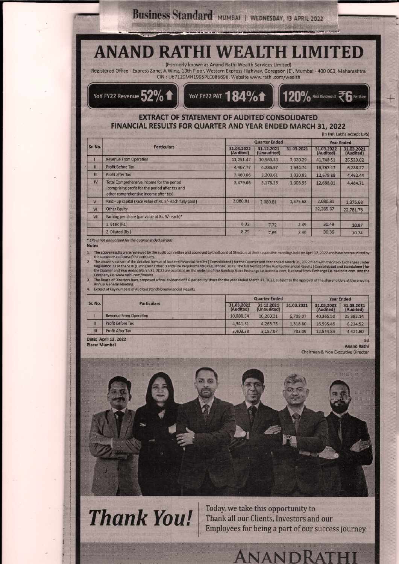# USINESS Standard MUMBAI I WEDNESDAY, 13 APRIL 2022<br>
(Formerly known as Anand Rathi Wealth Services Limited)<br>
SPASS Zone, A Wing, 10th Floor, Western Express Highway, Goregeon (E), Mumbail-40<br>
CIN : U67120MH1995PLC086696, W **ANAN** Business Standard MUMBAI | WEDNESDAY, 13 APRIL 2022<br>
ANAND RATHI WEALTH LIMITED<br>
(Formerly known as Anand Rathi Wealth Services Limited)<br>
(Formerly known as Anand Rathi Wealth Services Limited)<br>
CIN : UG7120MH1995PLC086696 **Business Standard MUILLER**<br> **ANAND RATHIM**<br>
Registered Office - Express Zone, A Wing, 10th Floor, Western E<br>
CIN : U67120MH1995PLC086696<br>
YoY FY22 Revenue 52% 1 **EXTRACT OF STATEMENT OF STATEMENT OF STATEMENT OF STATEMENT OF STATEMENT OF STATEMENT OF STATEMENT OF STATEMENT OF STATEMENT OF STATEMENT OF STATEMENT OF STATEMENT OF STATEMENT OF STATEMENT OF STATEMENT OF STATEMENT OF ST**



## EXTRACT OF STATEMENT OF AUDITED CONSOLIDATED FINANCIAL RESULTS FOR QUARTER AND YEAR ENDED MARCH 31, 2022

|                   | Business Standard MUMBAI   WEDNESDAY, 13 APRIL 2022                                                                                                                                    |                                |                      |                                     |                |                           |
|-------------------|----------------------------------------------------------------------------------------------------------------------------------------------------------------------------------------|--------------------------------|----------------------|-------------------------------------|----------------|---------------------------|
|                   |                                                                                                                                                                                        |                                |                      |                                     |                |                           |
|                   |                                                                                                                                                                                        |                                |                      |                                     |                |                           |
|                   |                                                                                                                                                                                        |                                |                      |                                     |                |                           |
|                   |                                                                                                                                                                                        |                                |                      |                                     |                |                           |
|                   |                                                                                                                                                                                        |                                |                      |                                     |                |                           |
|                   |                                                                                                                                                                                        |                                |                      |                                     |                |                           |
|                   |                                                                                                                                                                                        |                                |                      |                                     |                |                           |
|                   |                                                                                                                                                                                        |                                |                      |                                     |                |                           |
|                   |                                                                                                                                                                                        |                                |                      |                                     |                |                           |
|                   | <b>ANAND RATHI WEALTH LIMITED</b>                                                                                                                                                      |                                |                      |                                     |                |                           |
|                   |                                                                                                                                                                                        |                                |                      |                                     |                |                           |
|                   | (Formerly known as Anand Rathi Wealth Services Limited)                                                                                                                                |                                |                      |                                     |                |                           |
|                   | Registered Office - Express Zone, A Wing, 10th Floor, Western Express Highway, Goregaon (E), Mumbai - 400 063, Maharashtra<br>CIN: U67120MH1995PLC086696, Website www.rathi.com/wealth |                                |                      |                                     |                |                           |
|                   |                                                                                                                                                                                        |                                |                      |                                     |                |                           |
|                   | YoY FY22 Revenue $52\%$                                                                                                                                                                | YOY FY22 PAT 184% <sup>1</sup> |                      |                                     |                |                           |
|                   |                                                                                                                                                                                        |                                |                      |                                     |                |                           |
|                   |                                                                                                                                                                                        |                                |                      | 120% Final Dividend of 26 Per Share |                |                           |
|                   |                                                                                                                                                                                        |                                |                      |                                     |                |                           |
|                   |                                                                                                                                                                                        |                                |                      |                                     |                |                           |
|                   | <b>EXTRACT OF STATEMENT OF AUDITED CONSOLIDATED</b>                                                                                                                                    |                                |                      |                                     |                |                           |
|                   | FINANCIAL RESULTS FOR QUARTER AND YEAR ENDED MARCH 31, 2022                                                                                                                            |                                |                      |                                     |                | (In INR Lakhs except EPS) |
|                   |                                                                                                                                                                                        |                                | <b>Quarter Ended</b> |                                     |                | <b>Year Ended</b>         |
|                   | <b>Particulars</b>                                                                                                                                                                     | 31.03.2022                     | 31.12.2021           | 31.03.2021                          | 31.03.2022     | 31.03.2021                |
|                   |                                                                                                                                                                                        | (Audited)                      | (Unaudited)          |                                     | (Audited)      | (Audited)                 |
|                   | <b>Revenue From Operation</b>                                                                                                                                                          | 11,251.47                      | 10,569.33            | 7,020.29                            | 41,748.51      | 26,533.02                 |
| Sr. No.<br>Ħ<br>m | <b>Profit Before Tax</b><br>Profit after Tax                                                                                                                                           | 4.407.77                       | 4.286.97             | 1,634.74                            | 16,767.17      | 6,288.27                  |
| IV.               |                                                                                                                                                                                        | 3.460.06                       | 3,203.61             | 1,020.82                            | 12,679.88      | 4,462.44                  |
|                   | Total Comprehensive Income for the period<br>(comprising profit for the period after tax and                                                                                           | 3,479.66                       | 3,178.25<br>38.771M  | 1,008.55<br>FEE DE HOLD             | 12,688.01      | 4,484.71                  |
|                   | other comprehensive income after tax)                                                                                                                                                  |                                |                      |                                     |                |                           |
| V                 | Paid - up capital (Face value of Rs. 5/- each fully paid)                                                                                                                              | 2,080.81                       | 2,080.81             | 1,375.68                            | 2,080.81       | 1,375.68                  |
| VI                | <b>Other Equity</b>                                                                                                                                                                    |                                |                      |                                     | 32,285.87      | 22,781.76                 |
| VII               | Earning per share (par value of Rs. 5/- each)*                                                                                                                                         |                                |                      |                                     |                |                           |
|                   | 1. Basic (Rs.)<br>2. Diluted (Rs.)                                                                                                                                                     | 8.32<br>8.29                   | 7.72<br>7.69         | 2.49<br>2.46                        | 30.49<br>30.36 | 10.87<br>10.74            |

|               | <b>Particulars</b>                     |                         | <b>Quarter Ended</b>      |            |                                              | <b>Year Ended</b>        |  |
|---------------|----------------------------------------|-------------------------|---------------------------|------------|----------------------------------------------|--------------------------|--|
| Sr. No.       |                                        | 31.03.2022<br>(Audited) | 31.12.2021<br>(Unaudited) | 31.03.2021 | 31.03.2022<br>(Audited)                      | 31.03.2021<br>(Audited)  |  |
|               | <b>Revenue From Operation</b>          | 10,888.54               | 10,200,21                 | 6.709.07   | 40,365.50                                    | 25,382.14                |  |
| H             | Profit Before Tax                      | 4,341.31                | 4,265.75                  | 1,318.80   | 16,595.45                                    | 6.234.52                 |  |
| m             | <b>Profit After Tax</b><br><b>Diet</b> | 3,403.38                | 3,187.07                  | 783.09     | 12,544.83                                    | 4,421.80                 |  |
| Place: Mumbai | Date: April 12, 2022                   |                         |                           |            | <b>Chairman &amp; Non Executive Director</b> | Sd<br><b>Anand Rathi</b> |  |



Thank You! Thank all our Clients, Investors and our

Today, we take this opportunity to

Employees for being a part of our success journey.